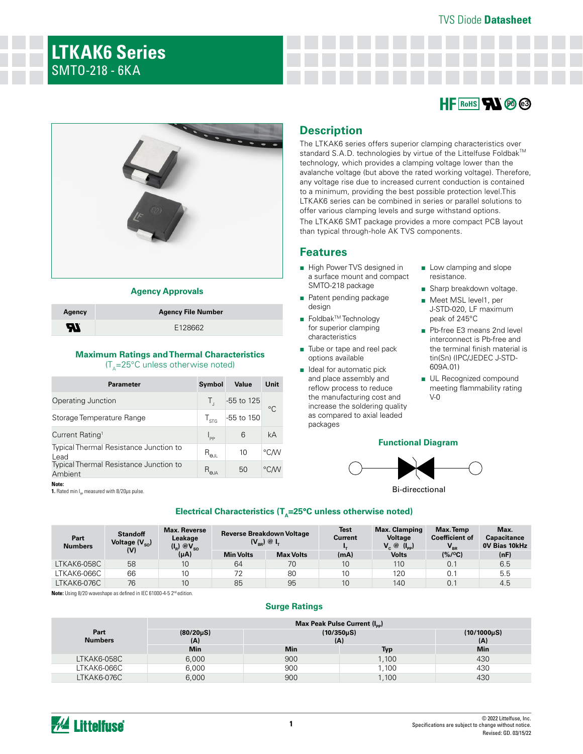# **LTKAK6 Series**  SMTO-218 - 6KA





### **Agency Approvals**

| Agency | <b>Agency File Number</b> |
|--------|---------------------------|
| H      | E128662                   |

## **Maximum Ratings and Thermal Characteristics**   $(T_A=25^{\circ}C$  unless otherwise noted)

| <b>Parameter</b>                                         | Symbol                    | Value        | Unit |
|----------------------------------------------------------|---------------------------|--------------|------|
| Operating Junction                                       |                           | $-55$ to 125 | °C   |
| Storage Temperature Range                                | $\frac{1}{5}$             | -55 to 150   |      |
| Current Rating <sup>1</sup>                              | $I_{\sf pp}$              | 6            | kA   |
| <b>Typical Thermal Resistance Junction to</b><br>Lead    | $R_{_{\Theta\text{III}}}$ | 10           | °C∕W |
| <b>Typical Thermal Resistance Junction to</b><br>Ambient | $R_{\theta J}$            | 50           | °CM  |

**Note:**

**1.** Rated min I<sub>n</sub> measured with 8/20μs pulse.

# **Description**

The LTKAK6 series offers superior clamping characteristics over standard S.A.D. technologies by virtue of the Littelfuse Foldbak™ technology, which provides a clamping voltage lower than the avalanche voltage (but above the rated working voltage). Therefore, any voltage rise due to increased current conduction is contained to a minimum, providing the best possible protection level.This LTKAK6 series can be combined in series or parallel solutions to offer various clamping levels and surge withstand options. The LTKAK6 SMT package provides a more compact PCB layout than typical through-hole AK TVS components.

## **Features**

- High Power TVS designed in a surface mount and compact SMTO-218 package
- Patent pending package design
- Foldbak<sup>™</sup>Technology for superior clamping characteristics
- Tube or tape and reel pack options available
- Ideal for automatic pick and place assembly and reflow process to reduce the manufacturing cost and increase the soldering quality as compared to axial leaded packages
- Low clamping and slope resistance.
- Sharp breakdown voltage.
- Meet MSL level1, per J-STD-020, LF maximum peak of 245°C
- Pb-free E3 means 2nd level interconnect is Pb-free and the terminal finish material is tin(Sn) (IPC/JEDEC J-STD-609A.01)
- UL Recognized compound meeting flammability rating V-0

## **Functional Diagram**



Bi-direcctional

### Electrical Characteristics (T<sub>A</sub>=25°C unless otherwise noted)

| Part<br><b>Numbers</b> | <b>Standoff</b><br>Voltage $(V_{so})$ | <b>Max. Reverse</b><br>Leakage<br>$(I_{\rm R})$ $\circledcirc V_{\rm SO}$ |                  | <b>Reverse Breakdown Voltage</b><br>$(V_{BR})$ @ $I_{T}$ | <b>Test</b><br><b>Current</b> | Max. Clamping<br>Voltage<br>$V_{c} \circledcirc (I_{op})$ | Max. Temp<br><b>Coefficient of</b><br>$V_{\rm BR}$ | Max.<br>Capacitance<br><b>OV Bias 10kHz</b> |
|------------------------|---------------------------------------|---------------------------------------------------------------------------|------------------|----------------------------------------------------------|-------------------------------|-----------------------------------------------------------|----------------------------------------------------|---------------------------------------------|
|                        | (V)                                   | $(\mu A)$                                                                 | <b>Min Volts</b> | <b>Max Volts</b>                                         | (mA)                          | <b>Volts</b>                                              | $(% / {}^{o}C)$                                    | (nF)                                        |
| LTKAK6-058C            | 58                                    | 10                                                                        | 64               | 70                                                       | 10                            | 110                                                       | 0.1                                                | 6.5                                         |
| LTKAK6-066C            | 66                                    | 10 <sup>10</sup>                                                          | 72               | 80                                                       | 10                            | 120                                                       | 0.1                                                | 5.5                                         |
| LTKAK6-076C            | 76                                    | 10                                                                        | 85               | 95                                                       | 10                            | 140                                                       | 0.1                                                | 4.5                                         |

Note: Using 8/20 waveshape as defined in IEC 61000-4-5 2<sup>nd</sup> edition

### **Surge Ratings**

|                        |                         |                          | Max Peak Pulse Current (I <sub>pp</sub> ) |                         |
|------------------------|-------------------------|--------------------------|-------------------------------------------|-------------------------|
| Part<br><b>Numbers</b> | $(80/20\,\mu S)$<br>(A) | $(10/350\,\mu S)$<br>(A) |                                           | $(10/1000\mu S)$<br>(A) |
|                        | <b>Min</b>              | <b>Min</b>               | Typ                                       | Min                     |
| LTKAK6-058C            | 6,000                   | 900                      | 1,100                                     | 430                     |
| LTKAK6-066C            | 6,000                   | 900                      | 1.100                                     | 430                     |
| LTKAK6-076C            | 6,000                   | 900                      | 1,100                                     | 430                     |

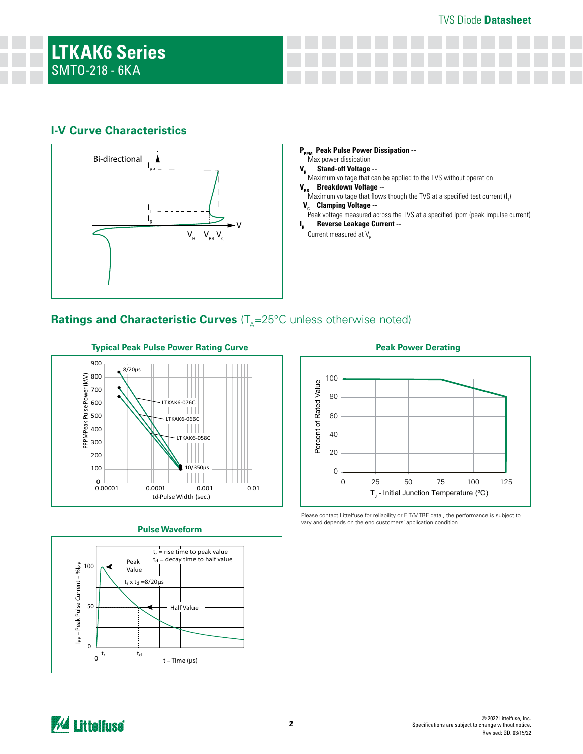# **I-V Curve Characteristics**



## **P<sub>PPM</sub> Peak Pulse Power Dissipation --**<br>Max power dissipation **V<sub>R</sub>** Stand-off Voltage --Maximum voltage that can be applied to the TVS without operation **V<sub>BR</sub>** Breakdown Voltage --Maximum voltage that flows though the TVS at a specified test current  $(\mathsf{I}_7)$

- **V<sub>C</sub> Clamping Voltage --**<br>Peak voltage measured across the TVS at a specified Ippm (peak impulse current)
- 
- **I <sup>R</sup>Reverse Leakage Current --**

# **Ratings and Characteristic Curves** (T<sub>A</sub>=25°C unless otherwise noted)



## **Pulse Waveform**



**Peak Power Derating**



Please contact Littelfuse for reliability or FIT/MTBF data , the performance is subject to vary and depends on the end customers' application condition.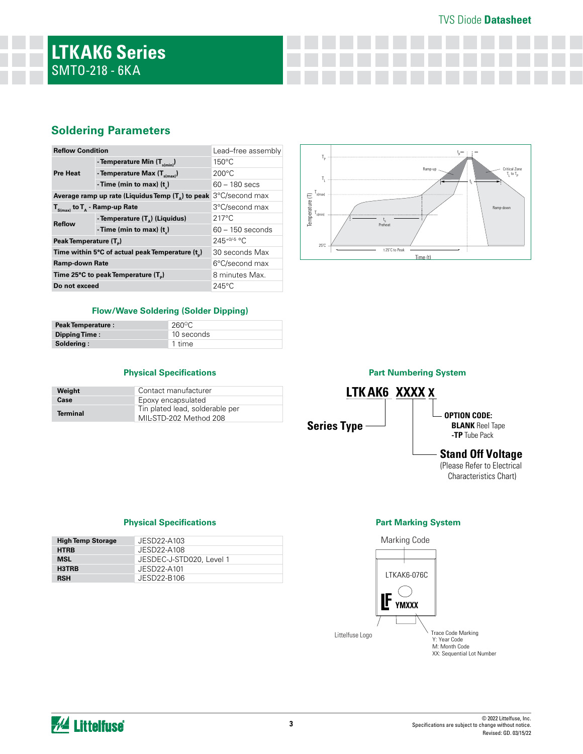## TVS Diode **Datasheet**

# **Soldering Parameters**

| <b>Reflow Condition</b>            |                                                     | Lead-free assembly |
|------------------------------------|-----------------------------------------------------|--------------------|
|                                    | - Temperature Min $(T_{s(min)})$                    | $150^{\circ}$ C    |
| <b>Pre Heat</b>                    | - Temperature Max $(T_{s(max)})$                    | $200^{\circ}$ C    |
|                                    | - Time (min to max) $(t_*)$                         | $60 - 180$ secs    |
|                                    | Average ramp up rate (Liquidus Temp $(T_0)$ to peak | 3°C/second max     |
|                                    | $T_{S(max)}$ to $T_{A}$ - Ramp-up Rate              | 3°C/second max     |
| <b>Reflow</b>                      | - Temperature (T <sub>a</sub> ) (Liquidus)          | $217^{\circ}$ C    |
|                                    | - Time (min to max) $(t_2)$                         | $60 - 150$ seconds |
| Peak Temperature (T <sub>a</sub> ) |                                                     | $245+0/5$ °C       |
|                                    | Time within 5°C of actual peak Temperature (t)      | 30 seconds Max     |
| <b>Ramp-down Rate</b>              |                                                     | 6°C/second max     |
| Time 25°C to peak Temperature (T)  |                                                     | 8 minutes Max.     |
| Do not exceed                      |                                                     | $245^{\circ}$ C    |



#### **Flow/Wave Soldering (Solder Dipping)**

| <b>Peak Temperature:</b> | 260°C      |
|--------------------------|------------|
| Dipping Time:            | 10 seconds |
| Soldering:               | 1 time     |

### **Physical Specifications**

| Weight          | Contact manufacturer                                      |
|-----------------|-----------------------------------------------------------|
| Case            | Epoxy encapsulated                                        |
| <b>Terminal</b> | Tin plated lead, solderable per<br>MIL-STD-202 Method 208 |



## **Part Marking System**



#### **Physical Specifications**

| <b>High Temp Storage</b> | JESD22-A103              |
|--------------------------|--------------------------|
| <b>HTRB</b>              | JESD22-A108              |
| <b>MSL</b>               | JESDEC-J-STD020, Level 1 |
| H3TRB                    | JESD22-A101              |
| <b>RSH</b>               | JESD22-B106              |